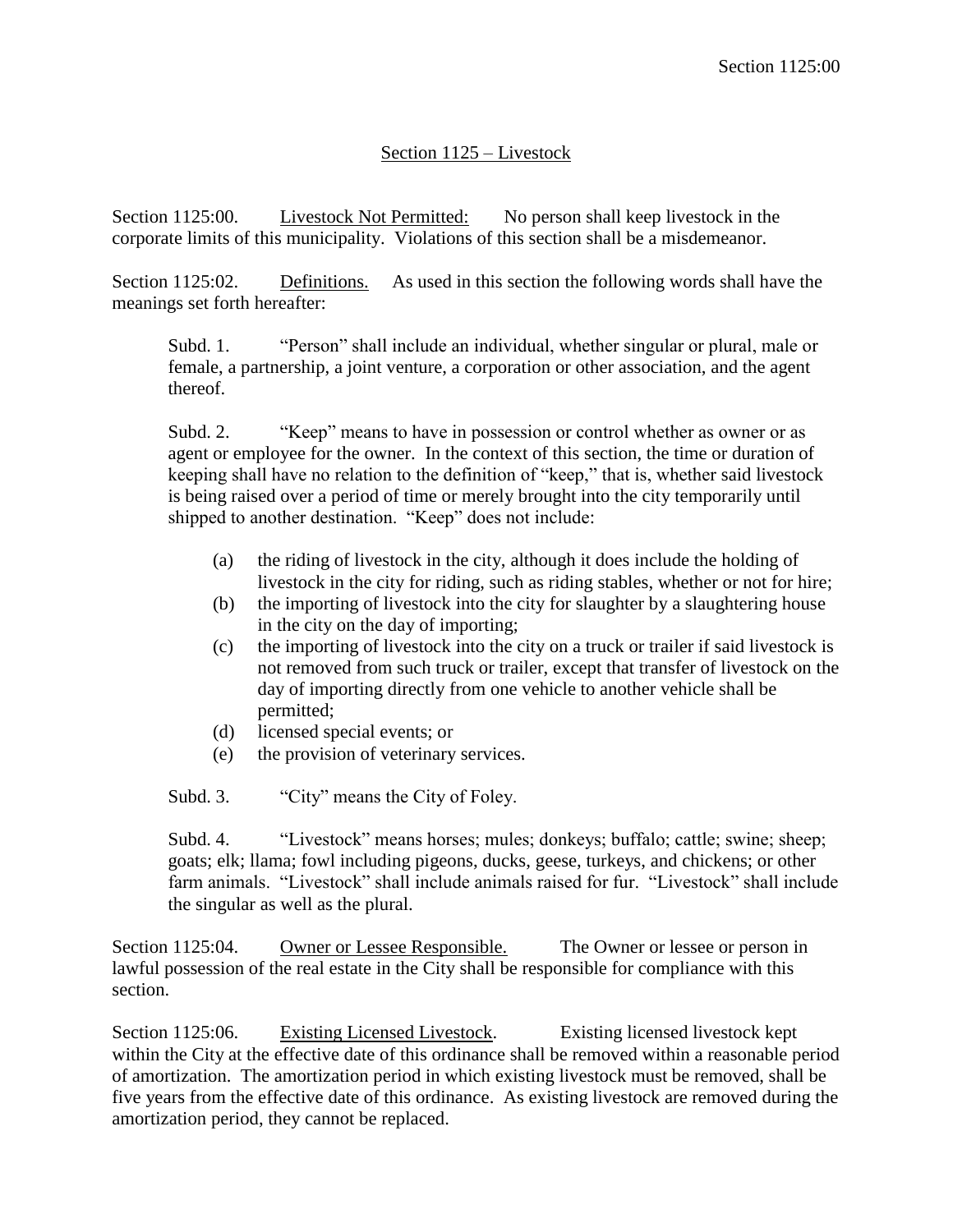## Section 1125 – Livestock

Section 1125:00. Livestock Not Permitted: No person shall keep livestock in the corporate limits of this municipality. Violations of this section shall be a misdemeanor.

Section 1125:02. Definitions. As used in this section the following words shall have the meanings set forth hereafter:

Subd. 1. "Person" shall include an individual, whether singular or plural, male or female, a partnership, a joint venture, a corporation or other association, and the agent thereof.

Subd. 2. "Keep" means to have in possession or control whether as owner or as agent or employee for the owner. In the context of this section, the time or duration of keeping shall have no relation to the definition of "keep," that is, whether said livestock is being raised over a period of time or merely brought into the city temporarily until shipped to another destination. "Keep" does not include:

- (a) the riding of livestock in the city, although it does include the holding of livestock in the city for riding, such as riding stables, whether or not for hire;
- (b) the importing of livestock into the city for slaughter by a slaughtering house in the city on the day of importing;
- (c) the importing of livestock into the city on a truck or trailer if said livestock is not removed from such truck or trailer, except that transfer of livestock on the day of importing directly from one vehicle to another vehicle shall be permitted;
- (d) licensed special events; or
- (e) the provision of veterinary services.
- Subd. 3. "City" means the City of Foley.

Subd. 4. "Livestock" means horses; mules; donkeys; buffalo; cattle; swine; sheep; goats; elk; llama; fowl including pigeons, ducks, geese, turkeys, and chickens; or other farm animals. "Livestock" shall include animals raised for fur. "Livestock" shall include the singular as well as the plural.

Section 1125:04. Owner or Lessee Responsible. The Owner or lessee or person in lawful possession of the real estate in the City shall be responsible for compliance with this section.

Section 1125:06. Existing Licensed Livestock. Existing licensed livestock kept within the City at the effective date of this ordinance shall be removed within a reasonable period of amortization. The amortization period in which existing livestock must be removed, shall be five years from the effective date of this ordinance. As existing livestock are removed during the amortization period, they cannot be replaced.